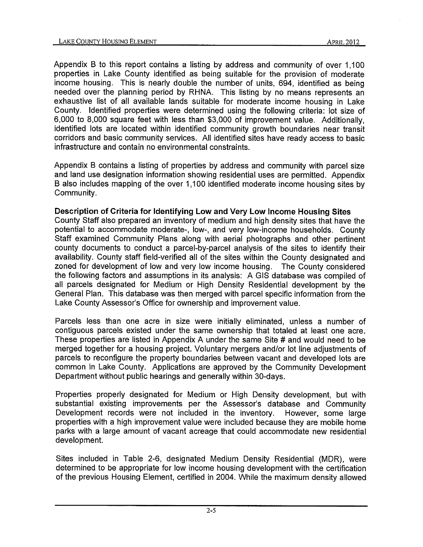Appendix B to this report contains a listing by address and community of over 1,100 properties in Lake County identified as being suitable for the provision of moderate income housing. This is nearly double the number of units, 694, identified as being needed over the planning period by RHNA. This listing by no means represents an exhaustive list of all available lands suitable for moderate income housing in Lake County. Identified properties were determined using the following criteria: lot size of 6,000 to 8,000 square feet with less than \$3,000 of improvement value. Additionally, identified lots are located within identified community growth boundaries near transit corridors and basic community services. All identified sites have ready access to basic infrastructure and contain no environmental constraints.

Appendix B contains a listing of properties by address and community with parcel size and land use designation information showing residential uses are permitted. Appendix B also includes mapping of the over 1,100 identified moderate income housing sites by Community.

## **Description of Criteria for Identifying Low and Very Low Income Housing Sites**

County Staff also prepared an inventory of medium and high density sites that have the potential to accommodate moderate-, low-, and very low-income households. County Staff examined Community Plans along with aerial photographs and other pertinent county documents to conduct a parcel-by-parcel analysis of the sites to identify their availability. County staff field-verified all of the sites within the County designated and zoned for development of low and very low income housing. The County considered the following factors and assumptions in its analysis: A GIS database was compiled of all parcels designated for Medium or High Density Residential development by the General Plan. This database was then merged with parcel specific information from the Lake County Assessor's Office for ownership and improvement value.

Parcels less than one acre in size were initially eliminated, unless a number of contiguous parcels existed under the same ownership that totaled at least one acre. These properties are listed in Appendix A under the same Site # and would need to be merged together for a housing project. Voluntary mergers and/or lot line adjustments of parcels to reconfigure the property boundaries between vacant and developed lots are common in Lake County. Applications are approved by the Community Development Department without public hearings and generally within 30-days.

Properties properly designated for Medium or High Density development, but with substantial existing improvements per the Assessor's database and Community Development records were not included in the inventory. However, some large properties with a high improvement value were included because they are mobile home parks with a large amount of vacant acreage that could accommodate new residential development.

Sites included in Table 2-6, designated Medium Density Residential (MDR), were determined to be appropriate for low income housing development with the certification of the previous Housing Element, certified in 2004. While the maximum density allowed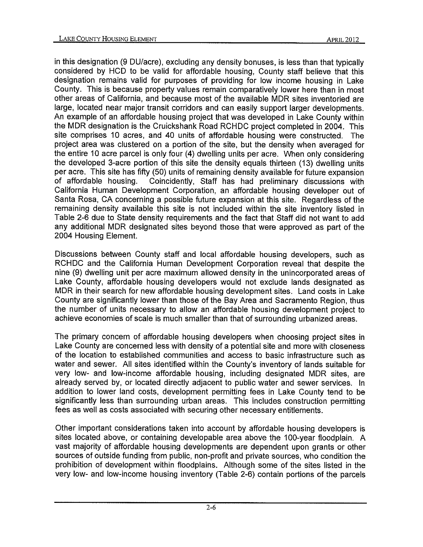in this designation (9 DU/acre), excluding any density bonuses, is less than that typically considered by HCD to be valid for affordable housing, County staff believe that this designation remains valid for purposes of providing for low income housing in Lake County. This is because property values remain comparatively lower here than in most other areas of California, and because most of the available MOR sites inventoried are large, located near major transit corridors and can easily support larger developments. An example of an affordable housing project that was developed in Lake County within the MOR designation is the Cruickshank Road RCHDC project completed in 2004. This site comprises 10 acres, and 40 units of affordable housing were constructed. The project area was clustered on a portion of the site, but the density when averaged for the entire 10 acre parcel is only four (4) dwelling units per acre. When only considering the developed 3-acre portion of this site the density equals thirteen (13) dwelling units per acre. This site has fifty (50) units of remaining density available for future expansion of affordable housing. Coincidently, Staff has had preliminary discussions with California Human Development Corporation, an affordable housing developer out of Santa Rosa, CA concerning a possible future expansion at this site. Regardless of the remaining density available this site is not included within the site inventory listed in Table 2-6 due to State density requirements and the fact that Staff did not want to add any additional MOR designated sites beyond those that were approved as part of the 2004 Housing Element.

Discussions between County staff and local affordable housing developers, such as RCHDC and the California Human Development Corporation reveal that despite the nine (9) dwelling unit per acre maximum allowed density in the unincorporated areas of Lake County, affordable housing developers would not exclude lands designated as MOR in their search for new affordable housing development sites. Land costs in Lake County are significantly lower than those of the Bay Area and Sacramento Region, thus the number of units necessary to allow an affordable housing development project to achieve economies of scale is much smaller than that of surrounding urbanized areas.

The primary concern of affordable housing developers when choosing project sites in Lake County are concerned less with density of a potential site and more with closeness of the location to established communities and access to basic infrastructure such as water and sewer. All sites identified within the County's inventory of lands suitable for very low- and low-income affordable housing, including designated MOR sites, are already served by, or located directly adjacent to public water and sewer services. In addition to lower land costs, development permitting fees in Lake County tend to be significantly less than surrounding urban areas. This includes construction permitting fees as well as costs associated with securing other necessary entitlements.

Other important considerations taken into account by affordable housing developers is sites located above, or containing developable area above the 100-year floodplain. A vast majority of affordable housing developments are dependent upon grants or other sources of outside funding from public, non-profit and private sources, who condition the prohibition of development within floodplains. Although some of the sites listed in the very low- and low-income housing inventory (Table 2-6) contain portions of the parcels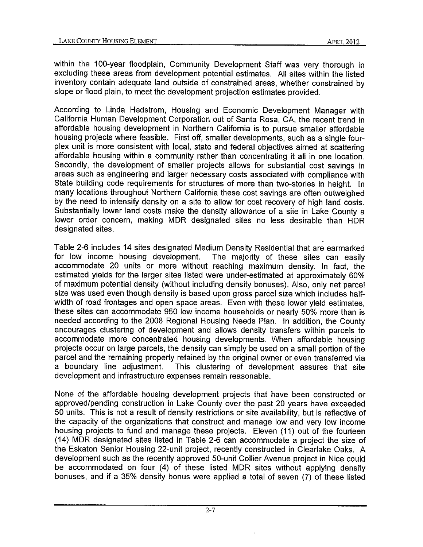within the 100-year floodplain, Community Development Staff was very thorough in excluding these areas from development potential estimates. All sites within the listed inventory contain adequate land outside of constrained areas, whether constrained by slope or flood plain, to meet the development projection estimates provided.

According to Linda Hedstrom, Housing and Economic Development Manager with California Human Development Corporation out of Santa Rosa, CA, the recent trend in affordable housing development in Northern California is to pursue smaller affordable housing projects where feasible. First off, smaller developments, such as a single fourplex unit is more consistent with local, state and federal objectives aimed at scattering affordable housing within a community rather than concentrating it all in one location. Secondly, the development of smaller projects allows for substantial cost savings in areas such as engineering and larger necessary costs associated with compliance with State building code requirements for structures of more than two-stories in height. In many locations throughout Northern California these cost savings are often outweighed by the need to intensify density on a site to allow for cost recovery of high land costs. Substantially lower land costs make the density allowance of a site in Lake County a lower order concern, making MDR designated sites no less desirable than HDR designated sites.

Table 2-6 includes 14 sites designated Medium Density Residential that are earmarked for low income housing development. The majority of these sites can easily accommodate 20 units or more without reaching maximum density. In fact, the estimated yields for the larger sites listed were under-estimated at approximately 60% of maximum potential density (without including density bonuses). Also, only net parcel size was used even though density is based upon gross parcel size which includes halfwidth of road frontages and open space areas. Even with these lower yield estimates, these sites can accommodate 950 low income households or nearly 50% more than is needed according to the 2008 Regional Housing Needs Plan. In addition, the County encourages clustering of development and allows density transfers within parcels to accommodate more concentrated housing developments. When affordable housing projects occur on large parcels, the density can simply be used on a small portion of the parcel and the remaining property retained by the original owner or even transferred via a boundary line adjustment. This clustering of development assures that site development and infrastructure expenses remain reasonable.

None of the affordable housing development projects that have been constructed or approved/pending construction in Lake County over the past 20 years have exceeded 50 units. This is not a result of density restrictions or site availability, but is reflective of the capacity of the organizations that construct and manage low and very low income housing projects to fund and manage these projects. Eleven (11) out of the fourteen (14) MDR designated sites listed in Table 2-6 can accommodate a project the size of the Eskaton Senior Housing 22-unit project, recently constructed in Clearlake Oaks. A development such as the recently approved 50-unit Collier Avenue project in Nice could be accommodated on four (4) of these listed MDR sites without applying density bonuses, and if a 35% density bonus were applied a total of seven (7) of these listed